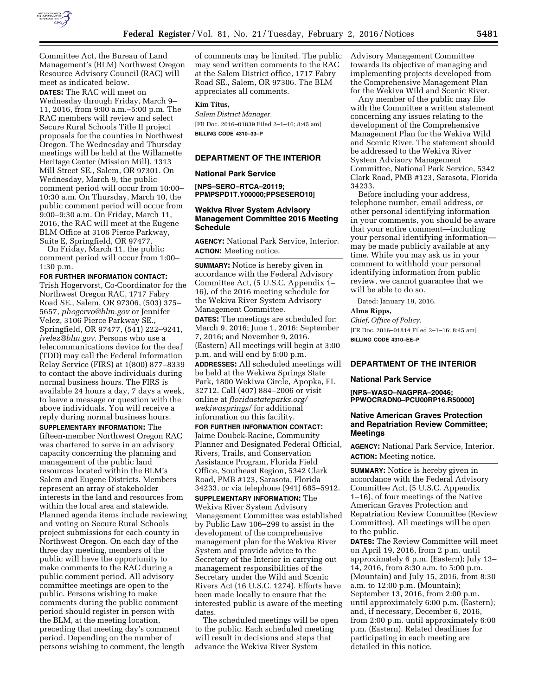

Committee Act, the Bureau of Land Management's (BLM) Northwest Oregon Resource Advisory Council (RAC) will meet as indicated below.

**DATES:** The RAC will meet on Wednesday through Friday, March 9– 11, 2016, from 9:00 a.m.–5:00 p.m. The RAC members will review and select Secure Rural Schools Title II project proposals for the counties in Northwest Oregon. The Wednesday and Thursday meetings will be held at the Willamette Heritage Center (Mission Mill), 1313 Mill Street SE., Salem, OR 97301. On Wednesday, March 9, the public comment period will occur from 10:00– 10:30 a.m. On Thursday, March 10, the public comment period will occur from 9:00–9:30 a.m. On Friday, March 11, 2016, the RAC will meet at the Eugene BLM Office at 3106 Pierce Parkway, Suite E, Springfield, OR 97477.

On Friday, March 11, the public comment period will occur from 1:00– 1:30 p.m.

**FOR FURTHER INFORMATION CONTACT:**  Trish Hogervorst, Co-Coordinator for the Northwest Oregon RAC, 1717 Fabry Road SE., Salem, OR 97306, (503) 375– 5657, *[phogervo@blm.gov](mailto:phogervo@blm.gov)* or Jennifer Velez, 3106 Pierce Parkway SE., Springfield, OR 97477, (541) 222–9241, *[jvelez@blm.gov](mailto:jvelez@blm.gov)*. Persons who use a telecommunications device for the deaf (TDD) may call the Federal Information Relay Service (FIRS) at 1(800) 877–8339 to contact the above individuals during normal business hours. The FIRS is available 24 hours a day, 7 days a week, to leave a message or question with the above individuals. You will receive a reply during normal business hours.

**SUPPLEMENTARY INFORMATION:** The fifteen-member Northwest Oregon RAC was chartered to serve in an advisory capacity concerning the planning and management of the public land resources located within the BLM's Salem and Eugene Districts. Members represent an array of stakeholder interests in the land and resources from within the local area and statewide. Planned agenda items include reviewing and voting on Secure Rural Schools project submissions for each county in Northwest Oregon. On each day of the three day meeting, members of the public will have the opportunity to make comments to the RAC during a public comment period. All advisory committee meetings are open to the public. Persons wishing to make comments during the public comment period should register in person with the BLM, at the meeting location, preceding that meeting day's comment period. Depending on the number of persons wishing to comment, the length

of comments may be limited. The public may send written comments to the RAC at the Salem District office, 1717 Fabry Road SE., Salem, OR 97306. The BLM appreciates all comments.

# **Kim Titus,**

*Salem District Manager.*  [FR Doc. 2016–01839 Filed 2–1–16; 8:45 am] **BILLING CODE 4310–33–P** 

## **DEPARTMENT OF THE INTERIOR**

## **National Park Service**

**[NPS–SERO–RTCA–20119; PPMPSPD1T.Y00000;PPSESERO10]** 

## **Wekiva River System Advisory Management Committee 2016 Meeting Schedule**

**AGENCY:** National Park Service, Interior. **ACTION:** Meeting notice.

**SUMMARY:** Notice is hereby given in accordance with the Federal Advisory Committee Act, (5 U.S.C. Appendix 1– 16), of the 2016 meeting schedule for the Wekiva River System Advisory Management Committee. **DATES:** The meetings are scheduled for:

March 9, 2016; June 1, 2016; September 7, 2016; and November 9, 2016. (Eastern) All meetings will begin at 3:00 p.m. and will end by 5:00 p.m.

**ADDRESSES:** All scheduled meetings will be held at the Wekiwa Springs State Park, 1800 Wekiwa Circle, Apopka, FL 32712. Call (407) 884–2006 or visit online at *floridastateparks.org/ wekiwasprings/* for additional information on this facility.

**FOR FURTHER INFORMATION CONTACT:**  Jaime Doubek-Racine, Community Planner and Designated Federal Official, Rivers, Trails, and Conservation Assistance Program, Florida Field Office, Southeast Region, 5342 Clark Road, PMB #123, Sarasota, Florida 34233, or via telephone (941) 685–5912.

**SUPPLEMENTARY INFORMATION:** The Wekiva River System Advisory Management Committee was established by Public Law 106–299 to assist in the development of the comprehensive management plan for the Wekiva River System and provide advice to the Secretary of the Interior in carrying out management responsibilities of the Secretary under the Wild and Scenic Rivers Act (16 U.S.C. 1274). Efforts have been made locally to ensure that the interested public is aware of the meeting dates.

The scheduled meetings will be open to the public. Each scheduled meeting will result in decisions and steps that advance the Wekiva River System

Advisory Management Committee towards its objective of managing and implementing projects developed from the Comprehensive Management Plan for the Wekiva Wild and Scenic River.

Any member of the public may file with the Committee a written statement concerning any issues relating to the development of the Comprehensive Management Plan for the Wekiva Wild and Scenic River. The statement should be addressed to the Wekiva River System Advisory Management Committee, National Park Service, 5342 Clark Road, PMB #123, Sarasota, Florida 34233.

Before including your address, telephone number, email address, or other personal identifying information in your comments, you should be aware that your entire comment—including your personal identifying information may be made publicly available at any time. While you may ask us in your comment to withhold your personal identifying information from public review, we cannot guarantee that we will be able to do so.

Dated: January 19, 2016.

### **Alma Ripps,**

*Chief, Office of Policy.*  [FR Doc. 2016–01814 Filed 2–1–16; 8:45 am] **BILLING CODE 4310–EE–P** 

## **DEPARTMENT OF THE INTERIOR**

#### **National Park Service**

**[NPS–WASO–NAGPRA–20046; PPWOCRADN0–PCU00RP16.R50000]** 

## **Native American Graves Protection and Repatriation Review Committee; Meetings**

**AGENCY:** National Park Service, Interior. **ACTION:** Meeting notice.

**SUMMARY:** Notice is hereby given in accordance with the Federal Advisory Committee Act, (5 U.S.C. Appendix 1–16), of four meetings of the Native American Graves Protection and Repatriation Review Committee (Review Committee). All meetings will be open to the public.

**DATES:** The Review Committee will meet on April 19, 2016, from 2 p.m. until approximately 6 p.m. (Eastern); July 13– 14, 2016, from 8:30 a.m. to 5:00 p.m. (Mountain) and July 15, 2016, from 8:30 a.m. to 12:00 p.m. (Mountain); September 13, 2016, from 2:00 p.m. until approximately 6:00 p.m. (Eastern); and, if necessary, December 6, 2016, from 2:00 p.m. until approximately 6:00 p.m. (Eastern). Related deadlines for participating in each meeting are detailed in this notice.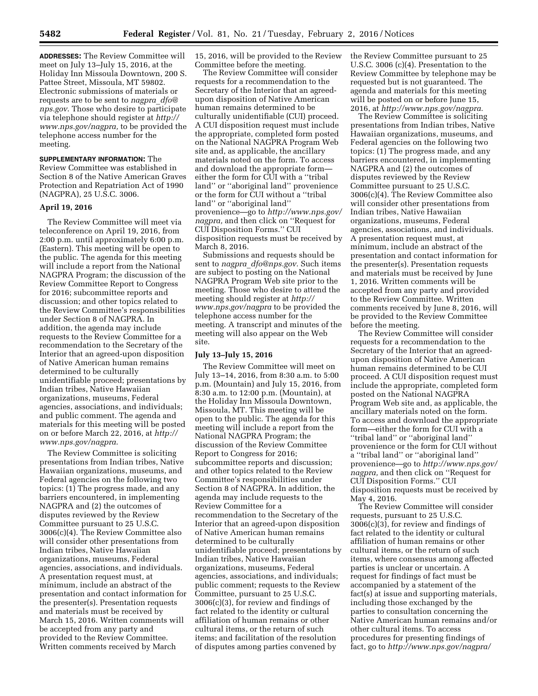**ADDRESSES:** The Review Committee will meet on July 13–July 15, 2016, at the Holiday Inn Missoula Downtown, 200 S. Pattee Street, Missoula, MT 59802. Electronic submissions of materials or requests are to be sent to *[nagpra](mailto:nagpra_dfo@nps.gov)*\_*dfo@ [nps.gov](mailto:nagpra_dfo@nps.gov)*. Those who desire to participate via telephone should register at *[http://](http://www.nps.gov/nagpra)  [www.nps.gov/nagpra,](http://www.nps.gov/nagpra)* to be provided the telephone access number for the meeting.

## **SUPPLEMENTARY INFORMATION:** The Review Committee was established in Section 8 of the Native American Graves Protection and Repatriation Act of 1990 (NAGPRA), 25 U.S.C. 3006.

## **April 19, 2016**

The Review Committee will meet via teleconference on April 19, 2016, from 2:00 p.m. until approximately 6:00 p.m. (Eastern). This meeting will be open to the public. The agenda for this meeting will include a report from the National NAGPRA Program; the discussion of the Review Committee Report to Congress for 2016; subcommittee reports and discussion; and other topics related to the Review Committee's responsibilities under Section 8 of NAGPRA. In addition, the agenda may include requests to the Review Committee for a recommendation to the Secretary of the Interior that an agreed-upon disposition of Native American human remains determined to be culturally unidentifiable proceed; presentations by Indian tribes, Native Hawaiian organizations, museums, Federal agencies, associations, and individuals; and public comment. The agenda and materials for this meeting will be posted on or before March 22, 2016, at *[http://](http://www.nps.gov/nagpra) [www.nps.gov/nagpra](http://www.nps.gov/nagpra)*.

The Review Committee is soliciting presentations from Indian tribes, Native Hawaiian organizations, museums, and Federal agencies on the following two topics: (1) The progress made, and any barriers encountered, in implementing NAGPRA and (2) the outcomes of disputes reviewed by the Review Committee pursuant to 25 U.S.C. 3006(c)(4). The Review Committee also will consider other presentations from Indian tribes, Native Hawaiian organizations, museums, Federal agencies, associations, and individuals. A presentation request must, at minimum, include an abstract of the presentation and contact information for the presenter(s). Presentation requests and materials must be received by March 15, 2016. Written comments will be accepted from any party and provided to the Review Committee. Written comments received by March

15, 2016, will be provided to the Review Committee before the meeting.

The Review Committee will consider requests for a recommendation to the Secretary of the Interior that an agreedupon disposition of Native American human remains determined to be culturally unidentifiable (CUI) proceed. A CUI disposition request must include the appropriate, completed form posted on the National NAGPRA Program Web site and, as applicable, the ancillary materials noted on the form. To access and download the appropriate form either the form for CUI with a ''tribal land'' or ''aboriginal land'' provenience or the form for CUI without a ''tribal land'' or ''aboriginal land'' provenience—go to *[http://www.nps.gov/](http://www.nps.gov/nagpra) [nagpra,](http://www.nps.gov/nagpra)* and then click on ''Request for CUI Disposition Forms.'' CUI disposition requests must be received by March 8, 2016.

Submissions and requests should be sent to *nagpra*\_*[dfo@nps.gov.](mailto:nagpra_dfo@nps.gov)* Such items are subject to posting on the National NAGPRA Program Web site prior to the meeting. Those who desire to attend the meeting should register at *[http://](http://www.nps.gov/nagpra) [www.nps.gov/nagpra](http://www.nps.gov/nagpra)* to be provided the telephone access number for the meeting. A transcript and minutes of the meeting will also appear on the Web site.

## **July 13–July 15, 2016**

The Review Committee will meet on July 13–14, 2016, from 8:30 a.m. to 5:00 p.m. (Mountain) and July 15, 2016, from 8:30 a.m. to 12:00 p.m. (Mountain), at the Holiday Inn Missoula Downtown, Missoula, MT. This meeting will be open to the public. The agenda for this meeting will include a report from the National NAGPRA Program; the discussion of the Review Committee Report to Congress for 2016; subcommittee reports and discussion; and other topics related to the Review Committee's responsibilities under Section 8 of NAGPRA. In addition, the agenda may include requests to the Review Committee for a recommendation to the Secretary of the Interior that an agreed-upon disposition of Native American human remains determined to be culturally unidentifiable proceed; presentations by Indian tribes, Native Hawaiian organizations, museums, Federal agencies, associations, and individuals; public comment; requests to the Review Committee, pursuant to 25 U.S.C. 3006(c)(3), for review and findings of fact related to the identity or cultural affiliation of human remains or other cultural items, or the return of such items; and facilitation of the resolution of disputes among parties convened by

the Review Committee pursuant to 25 U.S.C. 3006 (c)(4). Presentation to the Review Committee by telephone may be requested but is not guaranteed. The agenda and materials for this meeting will be posted on or before June 15, 2016, at *[http://www.nps.gov/nagpra.](http://www.nps.gov/nagpra)* 

The Review Committee is soliciting presentations from Indian tribes, Native Hawaiian organizations, museums, and Federal agencies on the following two topics: (1) The progress made, and any barriers encountered, in implementing NAGPRA and (2) the outcomes of disputes reviewed by the Review Committee pursuant to 25 U.S.C. 3006(c)(4). The Review Committee also will consider other presentations from Indian tribes, Native Hawaiian organizations, museums, Federal agencies, associations, and individuals. A presentation request must, at minimum, include an abstract of the presentation and contact information for the presenter(s). Presentation requests and materials must be received by June 1, 2016. Written comments will be accepted from any party and provided to the Review Committee. Written comments received by June 8, 2016, will be provided to the Review Committee before the meeting.

The Review Committee will consider requests for a recommendation to the Secretary of the Interior that an agreedupon disposition of Native American human remains determined to be CUI proceed. A CUI disposition request must include the appropriate, completed form posted on the National NAGPRA Program Web site and, as applicable, the ancillary materials noted on the form. To access and download the appropriate form—either the form for CUI with a ''tribal land'' or ''aboriginal land'' provenience or the form for CUI without a ''tribal land'' or ''aboriginal land'' provenience—go to *[http://www.nps.gov/](http://www.nps.gov/nagpra) [nagpra,](http://www.nps.gov/nagpra)* and then click on ''Request for CUI Disposition Forms.'' CUI disposition requests must be received by May 4, 2016.

The Review Committee will consider requests, pursuant to 25 U.S.C. 3006(c)(3), for review and findings of fact related to the identity or cultural affiliation of human remains or other cultural items, or the return of such items, where consensus among affected parties is unclear or uncertain. A request for findings of fact must be accompanied by a statement of the fact(s) at issue and supporting materials, including those exchanged by the parties to consultation concerning the Native American human remains and/or other cultural items. To access procedures for presenting findings of fact, go to *<http://www.nps.gov/nagpra/>*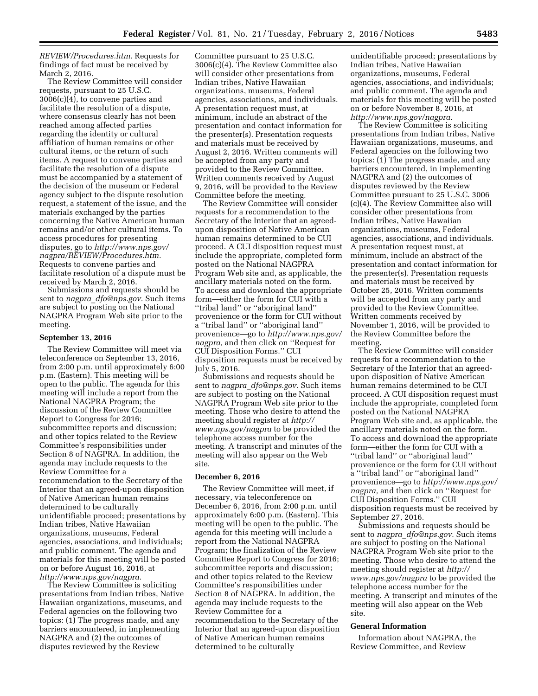*REVIEW/Procedures.htm.* Requests for findings of fact must be received by March 2, 2016.

The Review Committee will consider requests, pursuant to 25 U.S.C. 3006(c)(4), to convene parties and facilitate the resolution of a dispute, where consensus clearly has not been reached among affected parties regarding the identity or cultural affiliation of human remains or other cultural items, or the return of such items. A request to convene parties and facilitate the resolution of a dispute must be accompanied by a statement of the decision of the museum or Federal agency subject to the dispute resolution request, a statement of the issue, and the materials exchanged by the parties concerning the Native American human remains and/or other cultural items. To access procedures for presenting disputes, go to *[http://www.nps.gov/](http://www.nps.gov/nagpra/REVIEW/Procedures.htm) [nagpra/REVIEW/Procedures.htm.](http://www.nps.gov/nagpra/REVIEW/Procedures.htm)*  Requests to convene parties and facilitate resolution of a dispute must be received by March 2, 2016.

Submissions and requests should be sent to *nagpra*\_*[dfo@nps.gov.](mailto:nagpra_dfo@nps.gov)* Such items are subject to posting on the National NAGPRA Program Web site prior to the meeting.

### **September 13, 2016**

The Review Committee will meet via teleconference on September 13, 2016, from 2:00 p.m. until approximately 6:00 p.m. (Eastern). This meeting will be open to the public. The agenda for this meeting will include a report from the National NAGPRA Program; the discussion of the Review Committee Report to Congress for 2016; subcommittee reports and discussion; and other topics related to the Review Committee's responsibilities under Section 8 of NAGPRA. In addition, the agenda may include requests to the Review Committee for a recommendation to the Secretary of the Interior that an agreed-upon disposition of Native American human remains determined to be culturally unidentifiable proceed; presentations by Indian tribes, Native Hawaiian organizations, museums, Federal agencies, associations, and individuals; and public comment. The agenda and materials for this meeting will be posted on or before August 16, 2016, at *[http://www.nps.gov/nagpra.](http://www.nps.gov/nagpra)* 

The Review Committee is soliciting presentations from Indian tribes, Native Hawaiian organizations, museums, and Federal agencies on the following two topics: (1) The progress made, and any barriers encountered, in implementing NAGPRA and (2) the outcomes of disputes reviewed by the Review

Committee pursuant to 25 U.S.C. 3006(c)(4). The Review Committee also will consider other presentations from Indian tribes, Native Hawaiian organizations, museums, Federal agencies, associations, and individuals. A presentation request must, at minimum, include an abstract of the presentation and contact information for the presenter(s). Presentation requests and materials must be received by August 2, 2016. Written comments will be accepted from any party and provided to the Review Committee. Written comments received by August 9, 2016, will be provided to the Review Committee before the meeting.

The Review Committee will consider requests for a recommendation to the Secretary of the Interior that an agreedupon disposition of Native American human remains determined to be CUI proceed. A CUI disposition request must include the appropriate, completed form posted on the National NAGPRA Program Web site and, as applicable, the ancillary materials noted on the form. To access and download the appropriate form—either the form for CUI with a ''tribal land'' or ''aboriginal land'' provenience or the form for CUI without a ''tribal land'' or ''aboriginal land'' provenience—go to *[http://www.nps.gov/](http://www.nps.gov/nagpra) [nagpra,](http://www.nps.gov/nagpra)* and then click on ''Request for CUI Disposition Forms.'' CUI disposition requests must be received by July 5, 2016.

Submissions and requests should be sent to *nagpra*\_*[dfo@nps.gov.](mailto:nagpra_dfo@nps.gov)* Such items are subject to posting on the National NAGPRA Program Web site prior to the meeting. Those who desire to attend the meeting should register at *[http://](http://www.nps.gov/nagpra) [www.nps.gov/nagpra](http://www.nps.gov/nagpra)* to be provided the telephone access number for the meeting. A transcript and minutes of the meeting will also appear on the Web site.

### **December 6, 2016**

The Review Committee will meet, if necessary, via teleconference on December 6, 2016, from 2:00 p.m. until approximately 6:00 p.m. (Eastern). This meeting will be open to the public. The agenda for this meeting will include a report from the National NAGPRA Program; the finalization of the Review Committee Report to Congress for 2016; subcommittee reports and discussion; and other topics related to the Review Committee's responsibilities under Section 8 of NAGPRA. In addition, the agenda may include requests to the Review Committee for a recommendation to the Secretary of the Interior that an agreed-upon disposition of Native American human remains determined to be culturally

unidentifiable proceed; presentations by Indian tribes, Native Hawaiian organizations, museums, Federal agencies, associations, and individuals; and public comment. The agenda and materials for this meeting will be posted on or before November 8, 2016, at *[http://www.nps.gov/nagpra.](http://www.nps.gov/nagpra)* 

The Review Committee is soliciting presentations from Indian tribes, Native Hawaiian organizations, museums, and Federal agencies on the following two topics: (1) The progress made, and any barriers encountered, in implementing NAGPRA and (2) the outcomes of disputes reviewed by the Review Committee pursuant to 25 U.S.C. 3006 (c)(4). The Review Committee also will consider other presentations from Indian tribes, Native Hawaiian organizations, museums, Federal agencies, associations, and individuals. A presentation request must, at minimum, include an abstract of the presentation and contact information for the presenter(s). Presentation requests and materials must be received by October 25, 2016. Written comments will be accepted from any party and provided to the Review Committee. Written comments received by November 1, 2016, will be provided to the Review Committee before the meeting.

The Review Committee will consider requests for a recommendation to the Secretary of the Interior that an agreedupon disposition of Native American human remains determined to be CUI proceed. A CUI disposition request must include the appropriate, completed form posted on the National NAGPRA Program Web site and, as applicable, the ancillary materials noted on the form. To access and download the appropriate form—either the form for CUI with a ''tribal land'' or ''aboriginal land'' provenience or the form for CUI without a ''tribal land'' or ''aboriginal land'' provenience—go to *[http://www.nps.gov/](http://www.nps.gov/nagpra) [nagpra,](http://www.nps.gov/nagpra)* and then click on ''Request for CUI Disposition Forms.'' CUI disposition requests must be received by September 27, 2016.

Submissions and requests should be sent to *nagpra*\_*[dfo@nps.gov.](mailto:nagpra_dfo@nps.gov)* Such items are subject to posting on the National NAGPRA Program Web site prior to the meeting. Those who desire to attend the meeting should register at *[http://](http://www.nps.gov/nagpra) [www.nps.gov/nagpra](http://www.nps.gov/nagpra)* to be provided the telephone access number for the meeting. A transcript and minutes of the meeting will also appear on the Web site.

#### **General Information**

Information about NAGPRA, the Review Committee, and Review